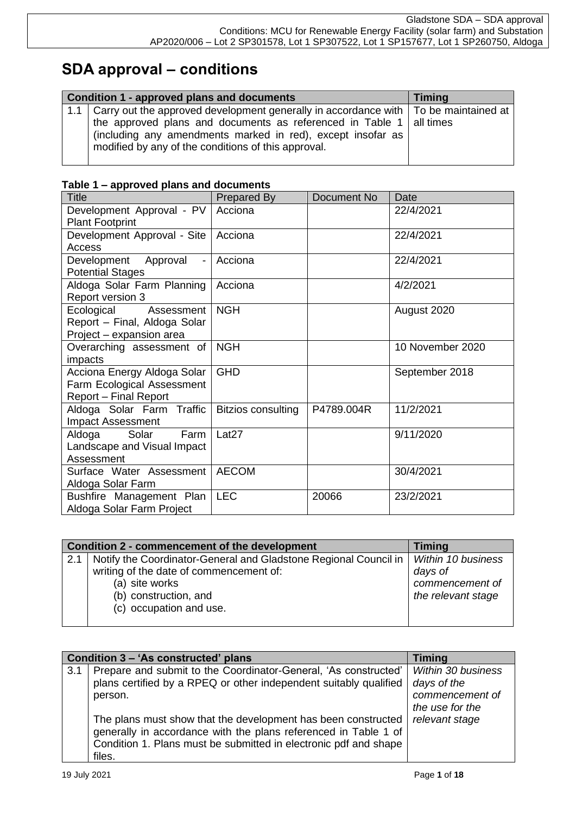# **SDA approval – conditions**

|  | Condition 1 - approved plans and documents                                                                                                                                                          | <b>Timing</b> |
|--|-----------------------------------------------------------------------------------------------------------------------------------------------------------------------------------------------------|---------------|
|  | 1.1   Carry out the approved development generally in accordance with   To be maintained at                                                                                                         |               |
|  | the approved plans and documents as referenced in Table 1 $\vert$ all times<br>(including any amendments marked in red), except insofar as  <br>modified by any of the conditions of this approval. |               |

|  |  |  | Table 1 – approved plans and documents |
|--|--|--|----------------------------------------|
|  |  |  |                                        |

| <b>Title</b>                                                                              | Prepared By        | Document No | Date             |
|-------------------------------------------------------------------------------------------|--------------------|-------------|------------------|
| Development Approval - PV<br><b>Plant Footprint</b>                                       | Acciona            |             | 22/4/2021        |
| Development Approval - Site<br>Access                                                     | Acciona            |             | 22/4/2021        |
| Development Approval<br><b>Potential Stages</b>                                           | Acciona            |             | 22/4/2021        |
| Aldoga Solar Farm Planning<br>Report version 3                                            | Acciona            |             | 4/2/2021         |
| Ecological<br>Assessment<br>Report - Final, Aldoga Solar<br>Project – expansion area      | <b>NGH</b>         |             | August 2020      |
| Overarching assessment of<br>impacts                                                      | <b>NGH</b>         |             | 10 November 2020 |
| Acciona Energy Aldoga Solar<br>Farm Ecological Assessment<br><b>Report - Final Report</b> | <b>GHD</b>         |             | September 2018   |
| Aldoga Solar Farm Traffic<br><b>Impact Assessment</b>                                     | Bitzios consulting | P4789.004R  | 11/2/2021        |
| Aldoga<br>Solar<br>Farm<br>Landscape and Visual Impact<br>Assessment                      | Lat <sub>27</sub>  |             | 9/11/2020        |
| Surface Water Assessment<br>Aldoga Solar Farm                                             | <b>AECOM</b>       |             | 30/4/2021        |
| Bushfire Management Plan<br>Aldoga Solar Farm Project                                     | <b>LEC</b>         | 20066       | 23/2/2021        |

|     | Condition 2 - commencement of the development                    | Timing             |
|-----|------------------------------------------------------------------|--------------------|
| 2.1 | Notify the Coordinator-General and Gladstone Regional Council in | Within 10 business |
|     | writing of the date of commencement of:                          | days of            |
|     | (a) site works                                                   | commencement of    |
|     | (b) construction, and                                            | the relevant stage |
|     | (c) occupation and use.                                          |                    |
|     |                                                                  |                    |

|     | Condition 3 - 'As constructed' plans                                                                                                                                                                           | <b>Timing</b>                                                                  |
|-----|----------------------------------------------------------------------------------------------------------------------------------------------------------------------------------------------------------------|--------------------------------------------------------------------------------|
| 3.1 | Prepare and submit to the Coordinator-General, 'As constructed'<br>plans certified by a RPEQ or other independent suitably qualified<br>person.                                                                | <b>Within 30 business</b><br>days of the<br>commencement of<br>the use for the |
|     | The plans must show that the development has been constructed<br>generally in accordance with the plans referenced in Table 1 of<br>Condition 1. Plans must be submitted in electronic pdf and shape<br>files. | relevant stage                                                                 |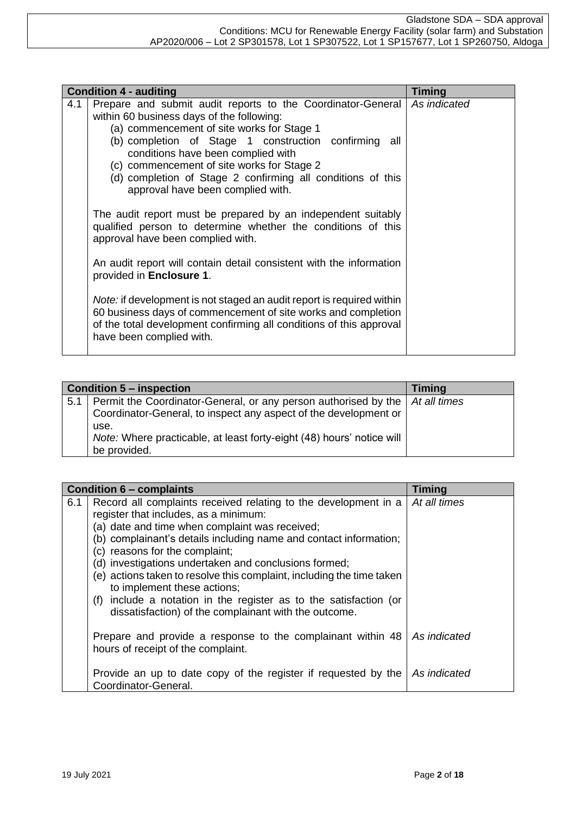|     | <b>Condition 4 - auditing</b>                                                                                                                                                                                                                                                                                                                                                                                                                                                                                                                                                                                                                                                                                                                                                                                             | <b>Timing</b> |
|-----|---------------------------------------------------------------------------------------------------------------------------------------------------------------------------------------------------------------------------------------------------------------------------------------------------------------------------------------------------------------------------------------------------------------------------------------------------------------------------------------------------------------------------------------------------------------------------------------------------------------------------------------------------------------------------------------------------------------------------------------------------------------------------------------------------------------------------|---------------|
| 4.1 | Prepare and submit audit reports to the Coordinator-General<br>within 60 business days of the following:<br>(a) commencement of site works for Stage 1<br>(b) completion of Stage 1 construction confirming all<br>conditions have been complied with<br>(c) commencement of site works for Stage 2<br>(d) completion of Stage 2 confirming all conditions of this<br>approval have been complied with.<br>The audit report must be prepared by an independent suitably<br>qualified person to determine whether the conditions of this<br>approval have been complied with.<br>An audit report will contain detail consistent with the information<br>provided in Enclosure 1.<br>Note: if development is not staged an audit report is required within<br>60 business days of commencement of site works and completion | As indicated  |
|     | of the total development confirming all conditions of this approval<br>have been complied with.                                                                                                                                                                                                                                                                                                                                                                                                                                                                                                                                                                                                                                                                                                                           |               |

|     | <b>Condition 5 – inspection</b>                                                | <b>Timing</b> |
|-----|--------------------------------------------------------------------------------|---------------|
| 5.1 | Permit the Coordinator-General, or any person authorised by the   At all times |               |
|     | Coordinator-General, to inspect any aspect of the development or               |               |
|     | use.                                                                           |               |
|     | Note: Where practicable, at least forty-eight (48) hours' notice will          |               |
|     | be provided.                                                                   |               |

|     | <b>Condition 6 - complaints</b>                                                                                                                                                                                                                                                                                                                                                                                                                                                                                                                                     | <b>Timing</b> |
|-----|---------------------------------------------------------------------------------------------------------------------------------------------------------------------------------------------------------------------------------------------------------------------------------------------------------------------------------------------------------------------------------------------------------------------------------------------------------------------------------------------------------------------------------------------------------------------|---------------|
| 6.1 | Record all complaints received relating to the development in a<br>register that includes, as a minimum:<br>(a) date and time when complaint was received;<br>(b) complainant's details including name and contact information;<br>(c) reasons for the complaint;<br>(d) investigations undertaken and conclusions formed;<br>(e) actions taken to resolve this complaint, including the time taken<br>to implement these actions;<br>include a notation in the register as to the satisfaction (or<br>(f)<br>dissatisfaction) of the complainant with the outcome. | At all times  |
|     | Prepare and provide a response to the complainant within 48<br>hours of receipt of the complaint.                                                                                                                                                                                                                                                                                                                                                                                                                                                                   | As indicated  |
|     | Provide an up to date copy of the register if requested by the<br>Coordinator-General.                                                                                                                                                                                                                                                                                                                                                                                                                                                                              | As indicated  |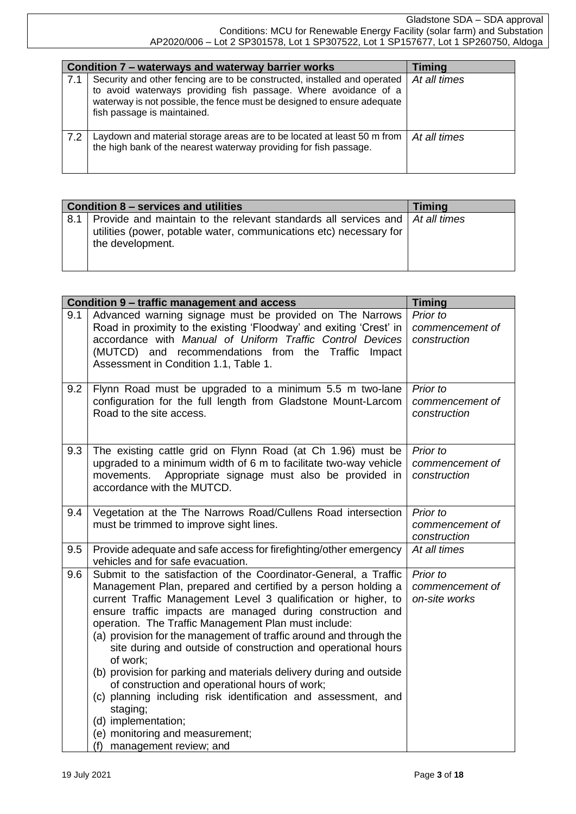|     | Condition 7 – waterways and waterway barrier works                                                                                                                                                                                                    | <b>Timing</b> |
|-----|-------------------------------------------------------------------------------------------------------------------------------------------------------------------------------------------------------------------------------------------------------|---------------|
| 7.1 | Security and other fencing are to be constructed, installed and operated<br>to avoid waterways providing fish passage. Where avoidance of a<br>waterway is not possible, the fence must be designed to ensure adequate<br>fish passage is maintained. | At all times  |
| 7.2 | Laydown and material storage areas are to be located at least 50 m from<br>the high bank of the nearest waterway providing for fish passage.                                                                                                          | At all times  |

|     | Condition 8 – services and utilities                                                                                                                                           | <b>Timing</b> |
|-----|--------------------------------------------------------------------------------------------------------------------------------------------------------------------------------|---------------|
| 8.1 | Provide and maintain to the relevant standards all services and $\vert$ At all times<br>utilities (power, potable water, communications etc) necessary for<br>the development. |               |
|     |                                                                                                                                                                                |               |

|     | Condition 9 - traffic management and access                                                                                                                                                                                                                                                                                                                                                                                                                                                                                                                                                                                                                                                                                                                                 | <b>Timing</b>                                |
|-----|-----------------------------------------------------------------------------------------------------------------------------------------------------------------------------------------------------------------------------------------------------------------------------------------------------------------------------------------------------------------------------------------------------------------------------------------------------------------------------------------------------------------------------------------------------------------------------------------------------------------------------------------------------------------------------------------------------------------------------------------------------------------------------|----------------------------------------------|
| 9.1 | Advanced warning signage must be provided on The Narrows<br>Road in proximity to the existing 'Floodway' and exiting 'Crest' in<br>accordance with Manual of Uniform Traffic Control Devices<br>(MUTCD) and recommendations from the Traffic Impact<br>Assessment in Condition 1.1, Table 1.                                                                                                                                                                                                                                                                                                                                                                                                                                                                                | Prior to<br>commencement of<br>construction  |
| 9.2 | Flynn Road must be upgraded to a minimum 5.5 m two-lane<br>configuration for the full length from Gladstone Mount-Larcom<br>Road to the site access.                                                                                                                                                                                                                                                                                                                                                                                                                                                                                                                                                                                                                        | Prior to<br>commencement of<br>construction  |
| 9.3 | The existing cattle grid on Flynn Road (at Ch 1.96) must be<br>upgraded to a minimum width of 6 m to facilitate two-way vehicle<br>Appropriate signage must also be provided in<br>movements.<br>accordance with the MUTCD.                                                                                                                                                                                                                                                                                                                                                                                                                                                                                                                                                 | Prior to<br>commencement of<br>construction  |
| 9.4 | Vegetation at the The Narrows Road/Cullens Road intersection<br>must be trimmed to improve sight lines.                                                                                                                                                                                                                                                                                                                                                                                                                                                                                                                                                                                                                                                                     | Prior to<br>commencement of<br>construction  |
| 9.5 | Provide adequate and safe access for firefighting/other emergency<br>vehicles and for safe evacuation.                                                                                                                                                                                                                                                                                                                                                                                                                                                                                                                                                                                                                                                                      | At all times                                 |
| 9.6 | Submit to the satisfaction of the Coordinator-General, a Traffic<br>Management Plan, prepared and certified by a person holding a<br>current Traffic Management Level 3 qualification or higher, to<br>ensure traffic impacts are managed during construction and<br>operation. The Traffic Management Plan must include:<br>(a) provision for the management of traffic around and through the<br>site during and outside of construction and operational hours<br>of work:<br>(b) provision for parking and materials delivery during and outside<br>of construction and operational hours of work;<br>(c) planning including risk identification and assessment, and<br>staging;<br>(d) implementation;<br>(e) monitoring and measurement;<br>(f) management review; and | Prior to<br>commencement of<br>on-site works |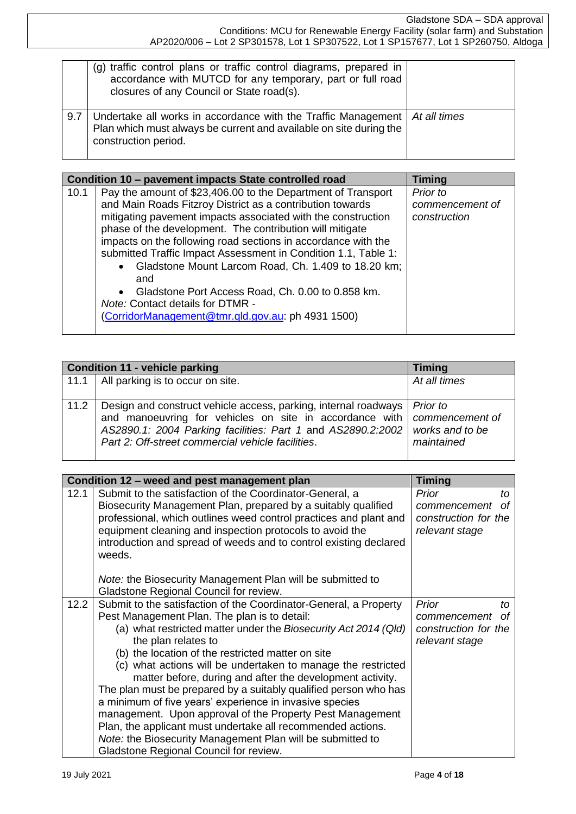|     | (g) traffic control plans or traffic control diagrams, prepared in<br>accordance with MUTCD for any temporary, part or full road<br>closures of any Council or State road(s).           |  |
|-----|-----------------------------------------------------------------------------------------------------------------------------------------------------------------------------------------|--|
| 9.7 | Undertake all works in accordance with the Traffic Management $\mid At \text{ all times}$<br>Plan which must always be current and available on site during the<br>construction period. |  |

|      | Condition 10 – pavement impacts State controlled road                                                                                                                                                                                                                                                                                                                                                                                                                                                                                                                                                                                 | <b>Timing</b>                               |
|------|---------------------------------------------------------------------------------------------------------------------------------------------------------------------------------------------------------------------------------------------------------------------------------------------------------------------------------------------------------------------------------------------------------------------------------------------------------------------------------------------------------------------------------------------------------------------------------------------------------------------------------------|---------------------------------------------|
| 10.1 | Pay the amount of \$23,406.00 to the Department of Transport<br>and Main Roads Fitzroy District as a contribution towards<br>mitigating pavement impacts associated with the construction<br>phase of the development. The contribution will mitigate<br>impacts on the following road sections in accordance with the<br>submitted Traffic Impact Assessment in Condition 1.1, Table 1:<br>Gladstone Mount Larcom Road, Ch. 1.409 to 18.20 km;<br>$\bullet$<br>and<br>Gladstone Port Access Road, Ch. 0.00 to 0.858 km.<br>$\bullet$<br><b>Note: Contact details for DTMR -</b><br>(CorridorManagement@tmr.qld.gov.au: ph 4931 1500) | Prior to<br>commencement of<br>construction |

|      | <b>Condition 11 - vehicle parking</b>                                                                                                                                                                                                                                       | <b>Timing</b>                 |
|------|-----------------------------------------------------------------------------------------------------------------------------------------------------------------------------------------------------------------------------------------------------------------------------|-------------------------------|
|      | 11.1   All parking is to occur on site.                                                                                                                                                                                                                                     | At all times                  |
| 11.2 | Design and construct vehicle access, parking, internal roadways   Prior to<br>and manoeuvring for vehicles on site in accordance with   commencement of<br>AS2890.1: 2004 Parking facilities: Part 1 and AS2890.2:2002<br>Part 2: Off-street commercial vehicle facilities. | works and to be<br>maintained |

|      | Condition 12 - weed and pest management plan                                                                                                                                                                                                                                                                                                                                                                                                                                                                                                                                                                                                                                                                                                                            | <b>Timing</b>                                                               |
|------|-------------------------------------------------------------------------------------------------------------------------------------------------------------------------------------------------------------------------------------------------------------------------------------------------------------------------------------------------------------------------------------------------------------------------------------------------------------------------------------------------------------------------------------------------------------------------------------------------------------------------------------------------------------------------------------------------------------------------------------------------------------------------|-----------------------------------------------------------------------------|
| 12.1 | Submit to the satisfaction of the Coordinator-General, a<br>Biosecurity Management Plan, prepared by a suitably qualified<br>professional, which outlines weed control practices and plant and<br>equipment cleaning and inspection protocols to avoid the<br>introduction and spread of weeds and to control existing declared<br>weeds.                                                                                                                                                                                                                                                                                                                                                                                                                               | Prior<br>to<br>Ωf<br>commencement<br>construction for the<br>relevant stage |
|      | <i>Note:</i> the Biosecurity Management Plan will be submitted to<br>Gladstone Regional Council for review.                                                                                                                                                                                                                                                                                                                                                                                                                                                                                                                                                                                                                                                             |                                                                             |
| 12.2 | Submit to the satisfaction of the Coordinator-General, a Property<br>Pest Management Plan. The plan is to detail:<br>(a) what restricted matter under the Biosecurity Act 2014 (Qld)<br>the plan relates to<br>(b) the location of the restricted matter on site<br>(c) what actions will be undertaken to manage the restricted<br>matter before, during and after the development activity.<br>The plan must be prepared by a suitably qualified person who has<br>a minimum of five years' experience in invasive species<br>management. Upon approval of the Property Pest Management<br>Plan, the applicant must undertake all recommended actions.<br><i>Note:</i> the Biosecurity Management Plan will be submitted to<br>Gladstone Regional Council for review. | Prior<br>tΩ<br>of<br>commencement<br>construction for the<br>relevant stage |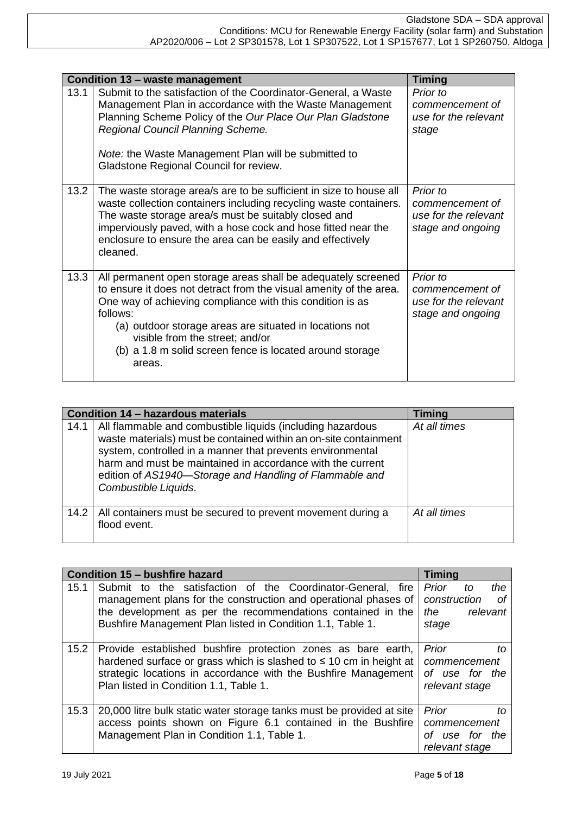|      | <b>Condition 13 - waste management</b>                                                                                                                                                                                                                                                                                                                                           | <b>Timing</b>                                                            |
|------|----------------------------------------------------------------------------------------------------------------------------------------------------------------------------------------------------------------------------------------------------------------------------------------------------------------------------------------------------------------------------------|--------------------------------------------------------------------------|
| 13.1 | Submit to the satisfaction of the Coordinator-General, a Waste<br>Management Plan in accordance with the Waste Management<br>Planning Scheme Policy of the Our Place Our Plan Gladstone<br>Regional Council Planning Scheme.<br>Note: the Waste Management Plan will be submitted to<br>Gladstone Regional Council for review.                                                   | Prior to<br>commencement of<br>use for the relevant<br>stage             |
| 13.2 | The waste storage area/s are to be sufficient in size to house all<br>waste collection containers including recycling waste containers.<br>The waste storage area/s must be suitably closed and<br>imperviously paved, with a hose cock and hose fitted near the<br>enclosure to ensure the area can be easily and effectively<br>cleaned.                                       | Prior to<br>commencement of<br>use for the relevant<br>stage and ongoing |
| 13.3 | All permanent open storage areas shall be adequately screened<br>to ensure it does not detract from the visual amenity of the area.<br>One way of achieving compliance with this condition is as<br>follows:<br>(a) outdoor storage areas are situated in locations not<br>visible from the street; and/or<br>(b) a 1.8 m solid screen fence is located around storage<br>areas. | Prior to<br>commencement of<br>use for the relevant<br>stage and ongoing |

|      | Condition 14 - hazardous materials                                                                                                                                                                                                                                                                                                            | <b>Timing</b> |
|------|-----------------------------------------------------------------------------------------------------------------------------------------------------------------------------------------------------------------------------------------------------------------------------------------------------------------------------------------------|---------------|
| 14.1 | All flammable and combustible liquids (including hazardous<br>waste materials) must be contained within an on-site containment<br>system, controlled in a manner that prevents environmental<br>harm and must be maintained in accordance with the current<br>edition of AS1940-Storage and Handling of Flammable and<br>Combustible Liquids. | At all times  |
| 14.2 | All containers must be secured to prevent movement during a<br>flood event.                                                                                                                                                                                                                                                                   | At all times  |

|      | Condition 15 - bushfire hazard                                                                                                                                                                                                                              | <b>Timing</b>                                                        |
|------|-------------------------------------------------------------------------------------------------------------------------------------------------------------------------------------------------------------------------------------------------------------|----------------------------------------------------------------------|
| 15.1 | Submit to the satisfaction of the Coordinator-General, fire<br>management plans for the construction and operational phases of<br>the development as per the recommendations contained in the<br>Bushfire Management Plan listed in Condition 1.1, Table 1. | Prior<br>the<br>to<br>construction<br>οf<br>the<br>relevant<br>stage |
| 15.2 | Provide established bushfire protection zones as bare earth,<br>hardened surface or grass which is slashed to $\leq 10$ cm in height at<br>strategic locations in accordance with the Bushfire Management<br>Plan listed in Condition 1.1, Table 1.         | Prior<br>tΩ<br>commencement<br>of use for the<br>relevant stage      |
| 15.3 | 20,000 litre bulk static water storage tanks must be provided at site<br>access points shown on Figure 6.1 contained in the Bushfire<br>Management Plan in Condition 1.1, Table 1.                                                                          | Prior<br>tΟ<br>commencement<br>use for the<br>Ωf<br>relevant stage   |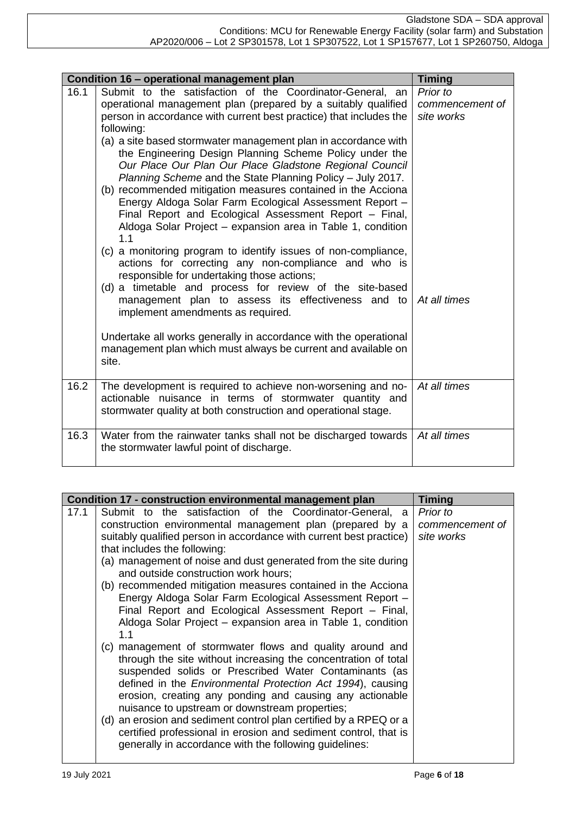|      | Condition 16 - operational management plan                                                                                                                                                                                                                                                                                                                                                                                                                                                                                                                                                                                                                                                                                                                                                                                                                                                                                                                                                                                                                     | <b>Timing</b>                                             |
|------|----------------------------------------------------------------------------------------------------------------------------------------------------------------------------------------------------------------------------------------------------------------------------------------------------------------------------------------------------------------------------------------------------------------------------------------------------------------------------------------------------------------------------------------------------------------------------------------------------------------------------------------------------------------------------------------------------------------------------------------------------------------------------------------------------------------------------------------------------------------------------------------------------------------------------------------------------------------------------------------------------------------------------------------------------------------|-----------------------------------------------------------|
| 16.1 | Submit to the satisfaction of the Coordinator-General, an<br>operational management plan (prepared by a suitably qualified<br>person in accordance with current best practice) that includes the<br>following:<br>(a) a site based stormwater management plan in accordance with<br>the Engineering Design Planning Scheme Policy under the<br>Our Place Our Plan Our Place Gladstone Regional Council<br>Planning Scheme and the State Planning Policy - July 2017.<br>(b) recommended mitigation measures contained in the Acciona<br>Energy Aldoga Solar Farm Ecological Assessment Report -<br>Final Report and Ecological Assessment Report - Final,<br>Aldoga Solar Project - expansion area in Table 1, condition<br>1.1<br>(c) a monitoring program to identify issues of non-compliance,<br>actions for correcting any non-compliance and who is<br>responsible for undertaking those actions;<br>(d) a timetable and process for review of the site-based<br>management plan to assess its effectiveness and to<br>implement amendments as required. | Prior to<br>commencement of<br>site works<br>At all times |
|      | Undertake all works generally in accordance with the operational<br>management plan which must always be current and available on<br>site.                                                                                                                                                                                                                                                                                                                                                                                                                                                                                                                                                                                                                                                                                                                                                                                                                                                                                                                     |                                                           |
| 16.2 | The development is required to achieve non-worsening and no-<br>actionable nuisance in terms of stormwater quantity and<br>stormwater quality at both construction and operational stage.                                                                                                                                                                                                                                                                                                                                                                                                                                                                                                                                                                                                                                                                                                                                                                                                                                                                      | At all times                                              |
| 16.3 | Water from the rainwater tanks shall not be discharged towards<br>the stormwater lawful point of discharge.                                                                                                                                                                                                                                                                                                                                                                                                                                                                                                                                                                                                                                                                                                                                                                                                                                                                                                                                                    | At all times                                              |

| Condition 17 - construction environmental management plan<br><b>Timing</b>        |  |
|-----------------------------------------------------------------------------------|--|
| Submit to the satisfaction of the Coordinator-General, a<br>17.1<br>Prior to      |  |
| construction environmental management plan (prepared by a<br>commencement of      |  |
| suitably qualified person in accordance with current best practice)<br>site works |  |
| that includes the following:                                                      |  |
| (a) management of noise and dust generated from the site during                   |  |
| and outside construction work hours;                                              |  |
| (b) recommended mitigation measures contained in the Acciona                      |  |
| Energy Aldoga Solar Farm Ecological Assessment Report -                           |  |
| Final Report and Ecological Assessment Report - Final,                            |  |
| Aldoga Solar Project - expansion area in Table 1, condition                       |  |
| 1.1                                                                               |  |
| (c) management of stormwater flows and quality around and                         |  |
| through the site without increasing the concentration of total                    |  |
| suspended solids or Prescribed Water Contaminants (as                             |  |
| defined in the Environmental Protection Act 1994), causing                        |  |
| erosion, creating any ponding and causing any actionable                          |  |
| nuisance to upstream or downstream properties;                                    |  |
| (d) an erosion and sediment control plan certified by a RPEQ or a                 |  |
| certified professional in erosion and sediment control, that is                   |  |
| generally in accordance with the following guidelines:                            |  |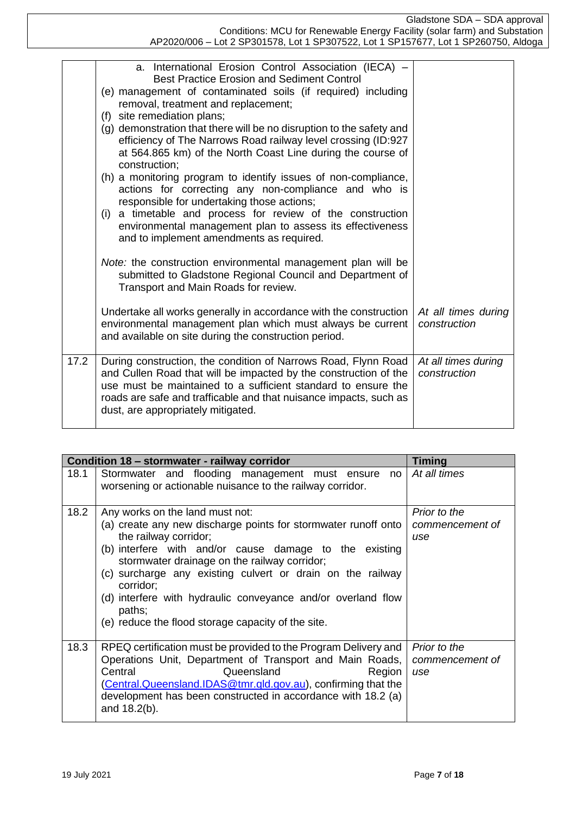Gladstone SDA – SDA approval Conditions: MCU for Renewable Energy Facility (solar farm) and Substation AP2020/006 – Lot 2 SP301578, Lot 1 SP307522, Lot 1 SP157677, Lot 1 SP260750, Aldoga

|      | a. International Erosion Control Association (IECA) -<br><b>Best Practice Erosion and Sediment Control</b><br>(e) management of contaminated soils (if required) including<br>removal, treatment and replacement;                                                                                                                           |                                     |
|------|---------------------------------------------------------------------------------------------------------------------------------------------------------------------------------------------------------------------------------------------------------------------------------------------------------------------------------------------|-------------------------------------|
|      | (f) site remediation plans;<br>(g) demonstration that there will be no disruption to the safety and<br>efficiency of The Narrows Road railway level crossing (ID:927<br>at 564.865 km) of the North Coast Line during the course of<br>construction;                                                                                        |                                     |
|      | (h) a monitoring program to identify issues of non-compliance,<br>actions for correcting any non-compliance and who is<br>responsible for undertaking those actions;<br>(i) a timetable and process for review of the construction<br>environmental management plan to assess its effectiveness<br>and to implement amendments as required. |                                     |
|      | Note: the construction environmental management plan will be<br>submitted to Gladstone Regional Council and Department of<br>Transport and Main Roads for review.                                                                                                                                                                           |                                     |
|      | Undertake all works generally in accordance with the construction<br>environmental management plan which must always be current<br>and available on site during the construction period.                                                                                                                                                    | At all times during<br>construction |
| 17.2 | During construction, the condition of Narrows Road, Flynn Road<br>and Cullen Road that will be impacted by the construction of the<br>use must be maintained to a sufficient standard to ensure the<br>roads are safe and trafficable and that nuisance impacts, such as<br>dust, are appropriately mitigated.                              | At all times during<br>construction |

|      | Condition 18 - stormwater - railway corridor                                                                                                                                                                                                                                                                                                                                                                                                    | <b>Timing</b>                          |
|------|-------------------------------------------------------------------------------------------------------------------------------------------------------------------------------------------------------------------------------------------------------------------------------------------------------------------------------------------------------------------------------------------------------------------------------------------------|----------------------------------------|
| 18.1 | Stormwater and flooding management must ensure<br>no<br>worsening or actionable nuisance to the railway corridor.                                                                                                                                                                                                                                                                                                                               | At all times                           |
| 18.2 | Any works on the land must not:<br>(a) create any new discharge points for stormwater runoff onto<br>the railway corridor;<br>(b) interfere with and/or cause damage to the existing<br>stormwater drainage on the railway corridor;<br>(c) surcharge any existing culvert or drain on the railway<br>corridor;<br>(d) interfere with hydraulic conveyance and/or overland flow<br>paths;<br>(e) reduce the flood storage capacity of the site. | Prior to the<br>commencement of<br>use |
| 18.3 | RPEQ certification must be provided to the Program Delivery and<br>Operations Unit, Department of Transport and Main Roads,<br>Queensland<br>Central<br>Region<br>(Central.Queensland.IDAS@tmr.qld.gov.au), confirming that the<br>development has been constructed in accordance with 18.2 (a)<br>and 18.2(b).                                                                                                                                 | Prior to the<br>commencement of<br>use |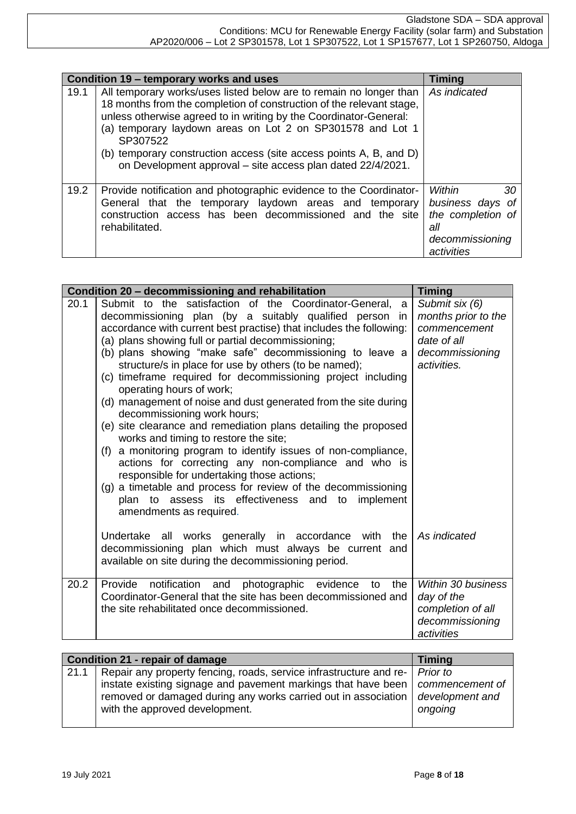|      | Condition 19 - temporary works and uses                                                                                                                                                                                                                                                                                                                                                                                        | Timing                                                                                        |
|------|--------------------------------------------------------------------------------------------------------------------------------------------------------------------------------------------------------------------------------------------------------------------------------------------------------------------------------------------------------------------------------------------------------------------------------|-----------------------------------------------------------------------------------------------|
| 19.1 | All temporary works/uses listed below are to remain no longer than<br>18 months from the completion of construction of the relevant stage,<br>unless otherwise agreed to in writing by the Coordinator-General:<br>(a) temporary laydown areas on Lot 2 on SP301578 and Lot 1<br>SP307522<br>(b) temporary construction access (site access points A, B, and D)<br>on Development approval - site access plan dated 22/4/2021. | As indicated                                                                                  |
| 19.2 | Provide notification and photographic evidence to the Coordinator-<br>General that the temporary laydown areas and temporary<br>construction access has been decommissioned and the site<br>rehabilitated.                                                                                                                                                                                                                     | Within<br>30<br>business days of<br>the completion of<br>all<br>decommissioning<br>activities |

|      | Condition 20 - decommissioning and rehabilitation                                                                                                                                                                                                                                                                                                                                                                                                                                                                                                                                                                                                                                                                                                                                                                                                                                                                                                                                                           | <b>Timing</b>                                                                                          |
|------|-------------------------------------------------------------------------------------------------------------------------------------------------------------------------------------------------------------------------------------------------------------------------------------------------------------------------------------------------------------------------------------------------------------------------------------------------------------------------------------------------------------------------------------------------------------------------------------------------------------------------------------------------------------------------------------------------------------------------------------------------------------------------------------------------------------------------------------------------------------------------------------------------------------------------------------------------------------------------------------------------------------|--------------------------------------------------------------------------------------------------------|
| 20.1 | Submit to the satisfaction of the Coordinator-General,<br>a<br>decommissioning plan (by a suitably qualified person in<br>accordance with current best practise) that includes the following:<br>(a) plans showing full or partial decommissioning;<br>(b) plans showing "make safe" decommissioning to leave a<br>structure/s in place for use by others (to be named);<br>(c) timeframe required for decommissioning project including<br>operating hours of work;<br>(d) management of noise and dust generated from the site during<br>decommissioning work hours;<br>(e) site clearance and remediation plans detailing the proposed<br>works and timing to restore the site;<br>(f) a monitoring program to identify issues of non-compliance,<br>actions for correcting any non-compliance and who is<br>responsible for undertaking those actions;<br>(g) a timetable and process for review of the decommissioning<br>plan to assess its effectiveness and to implement<br>amendments as required. | Submit six (6)<br>months prior to the<br>commencement<br>date of all<br>decommissioning<br>activities. |
|      | Undertake all works generally in accordance<br>the<br>with<br>decommissioning plan which must always be current<br>and<br>available on site during the decommissioning period.                                                                                                                                                                                                                                                                                                                                                                                                                                                                                                                                                                                                                                                                                                                                                                                                                              | As indicated                                                                                           |
| 20.2 | Provide<br>notification and<br>photographic<br>evidence<br>the<br>to<br>Coordinator-General that the site has been decommissioned and<br>the site rehabilitated once decommissioned.                                                                                                                                                                                                                                                                                                                                                                                                                                                                                                                                                                                                                                                                                                                                                                                                                        | Within 30 business<br>day of the<br>completion of all<br>decommissioning<br>activities                 |

| <b>Condition 21 - repair of damage</b> |                                                                                                                                                                   | Timing                                        |
|----------------------------------------|-------------------------------------------------------------------------------------------------------------------------------------------------------------------|-----------------------------------------------|
| 21.1                                   | Repair any property fencing, roads, service infrastructure and re-   Prior to                                                                                     |                                               |
|                                        | instate existing signage and pavement markings that have been<br>removed or damaged during any works carried out in association<br>with the approved development. | commencement of<br>development and<br>ongoing |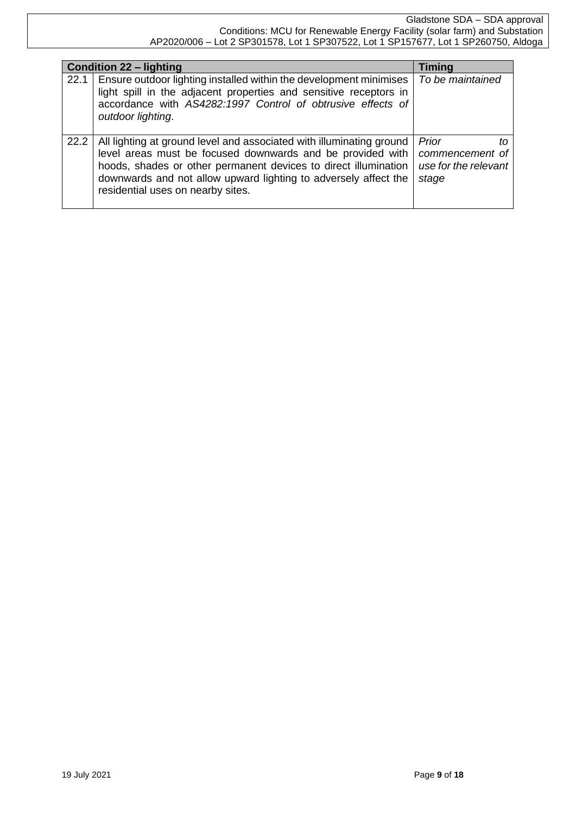| <b>Condition 22 – lighting</b> |                                                                                                                                                                                                                                                                                                               | <b>Timing</b>                                                   |  |
|--------------------------------|---------------------------------------------------------------------------------------------------------------------------------------------------------------------------------------------------------------------------------------------------------------------------------------------------------------|-----------------------------------------------------------------|--|
| 22.1                           | Ensure outdoor lighting installed within the development minimises<br>light spill in the adjacent properties and sensitive receptors in<br>accordance with AS4282:1997 Control of obtrusive effects of<br>outdoor lighting.                                                                                   | To be maintained                                                |  |
| 22.2                           | All lighting at ground level and associated with illuminating ground<br>level areas must be focused downwards and be provided with<br>hoods, shades or other permanent devices to direct illumination<br>downwards and not allow upward lighting to adversely affect the<br>residential uses on nearby sites. | Prior<br>tΩ<br>commencement of<br>use for the relevant<br>stage |  |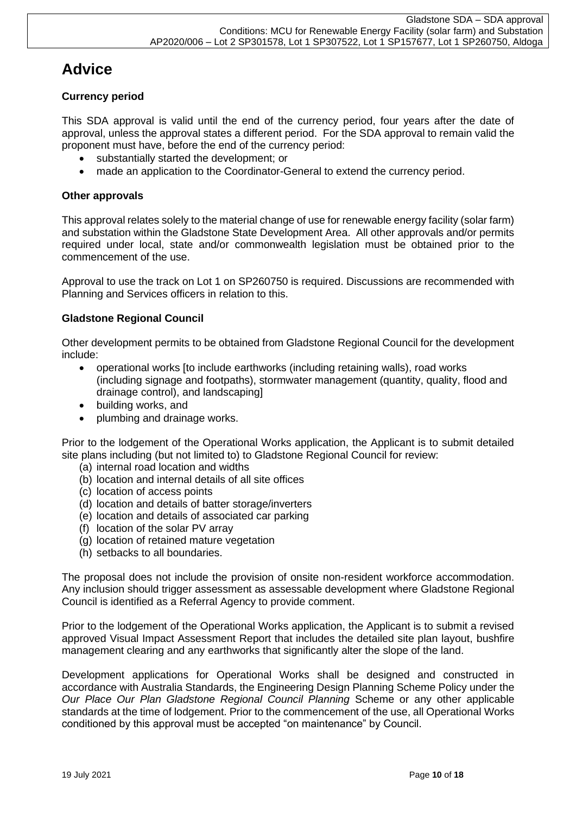# **Advice**

# **Currency period**

This SDA approval is valid until the end of the currency period, four years after the date of approval, unless the approval states a different period. For the SDA approval to remain valid the proponent must have, before the end of the currency period:

- substantially started the development; or
- made an application to the Coordinator-General to extend the currency period.

# **Other approvals**

This approval relates solely to the material change of use for renewable energy facility (solar farm) and substation within the Gladstone State Development Area. All other approvals and/or permits required under local, state and/or commonwealth legislation must be obtained prior to the commencement of the use.

Approval to use the track on Lot 1 on SP260750 is required. Discussions are recommended with Planning and Services officers in relation to this.

# **Gladstone Regional Council**

Other development permits to be obtained from Gladstone Regional Council for the development include:

- operational works [to include earthworks (including retaining walls), road works (including signage and footpaths), stormwater management (quantity, quality, flood and drainage control), and landscaping]
- building works, and
- plumbing and drainage works.

Prior to the lodgement of the Operational Works application, the Applicant is to submit detailed site plans including (but not limited to) to Gladstone Regional Council for review:

- (a) internal road location and widths
- (b) location and internal details of all site offices
- (c) location of access points
- (d) location and details of batter storage/inverters
- (e) location and details of associated car parking
- (f) location of the solar PV array
- (g) location of retained mature vegetation
- (h) setbacks to all boundaries.

The proposal does not include the provision of onsite non-resident workforce accommodation. Any inclusion should trigger assessment as assessable development where Gladstone Regional Council is identified as a Referral Agency to provide comment.

Prior to the lodgement of the Operational Works application, the Applicant is to submit a revised approved Visual Impact Assessment Report that includes the detailed site plan layout, bushfire management clearing and any earthworks that significantly alter the slope of the land.

Development applications for Operational Works shall be designed and constructed in accordance with Australia Standards, the Engineering Design Planning Scheme Policy under the *Our Place Our Plan Gladstone Regional Council Planning* Scheme or any other applicable standards at the time of lodgement. Prior to the commencement of the use, all Operational Works conditioned by this approval must be accepted "on maintenance" by Council.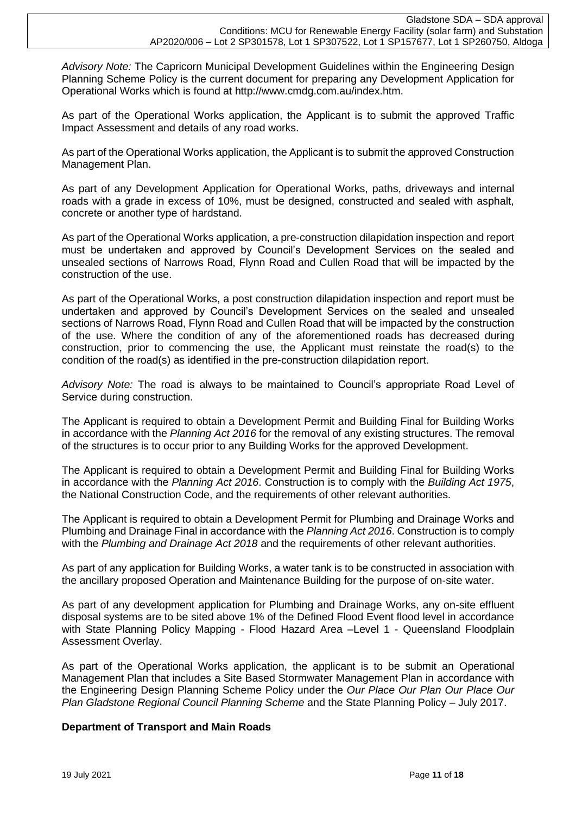*Advisory Note:* The Capricorn Municipal Development Guidelines within the Engineering Design Planning Scheme Policy is the current document for preparing any Development Application for Operational Works which is found at http://www.cmdg.com.au/index.htm.

As part of the Operational Works application, the Applicant is to submit the approved Traffic Impact Assessment and details of any road works.

As part of the Operational Works application, the Applicant is to submit the approved Construction Management Plan.

As part of any Development Application for Operational Works, paths, driveways and internal roads with a grade in excess of 10%, must be designed, constructed and sealed with asphalt, concrete or another type of hardstand.

As part of the Operational Works application, a pre-construction dilapidation inspection and report must be undertaken and approved by Council's Development Services on the sealed and unsealed sections of Narrows Road, Flynn Road and Cullen Road that will be impacted by the construction of the use.

As part of the Operational Works, a post construction dilapidation inspection and report must be undertaken and approved by Council's Development Services on the sealed and unsealed sections of Narrows Road, Flynn Road and Cullen Road that will be impacted by the construction of the use. Where the condition of any of the aforementioned roads has decreased during construction, prior to commencing the use, the Applicant must reinstate the road(s) to the condition of the road(s) as identified in the pre-construction dilapidation report.

*Advisory Note:* The road is always to be maintained to Council's appropriate Road Level of Service during construction.

The Applicant is required to obtain a Development Permit and Building Final for Building Works in accordance with the *Planning Act 2016* for the removal of any existing structures. The removal of the structures is to occur prior to any Building Works for the approved Development.

The Applicant is required to obtain a Development Permit and Building Final for Building Works in accordance with the *Planning Act 2016*. Construction is to comply with the *Building Act 1975*, the National Construction Code, and the requirements of other relevant authorities.

The Applicant is required to obtain a Development Permit for Plumbing and Drainage Works and Plumbing and Drainage Final in accordance with the *Planning Act 2016*. Construction is to comply with the *Plumbing and Drainage Act 2018* and the requirements of other relevant authorities.

As part of any application for Building Works, a water tank is to be constructed in association with the ancillary proposed Operation and Maintenance Building for the purpose of on-site water.

As part of any development application for Plumbing and Drainage Works, any on-site effluent disposal systems are to be sited above 1% of the Defined Flood Event flood level in accordance with State Planning Policy Mapping - Flood Hazard Area –Level 1 - Queensland Floodplain Assessment Overlay.

As part of the Operational Works application, the applicant is to be submit an Operational Management Plan that includes a Site Based Stormwater Management Plan in accordance with the Engineering Design Planning Scheme Policy under the *Our Place Our Plan Our Place Our Plan Gladstone Regional Council Planning Scheme* and the State Planning Policy – July 2017.

## **Department of Transport and Main Roads**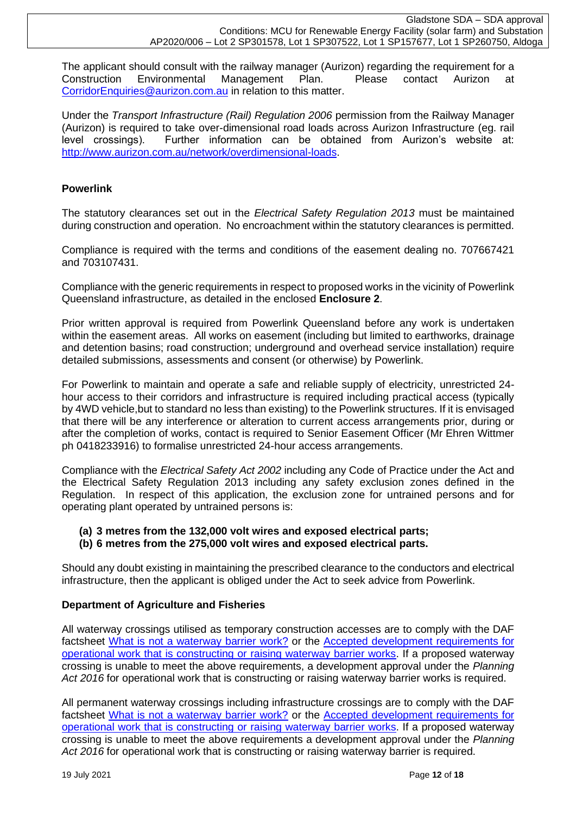The applicant should consult with the railway manager (Aurizon) regarding the requirement for a Construction Environmental Management Plan. Please contact Aurizon at [CorridorEnquiries@aurizon.com.au](mailto:CorridorEnquiries@aurizon.com.au) in relation to this matter.

Under the *Transport Infrastructure (Rail) Regulation 2006* permission from the Railway Manager (Aurizon) is required to take over-dimensional road loads across Aurizon Infrastructure (eg. rail level crossings). Further information can be obtained from Aurizon's website at: [http://www.aurizon.com.au/network/overdimensional-loads.](http://www.aurizon.com.au/network/overdimensional-loads)

# **Powerlink**

The statutory clearances set out in the *Electrical Safety Regulation 2013* must be maintained during construction and operation. No encroachment within the statutory clearances is permitted.

Compliance is required with the terms and conditions of the easement dealing no. 707667421 and 703107431.

Compliance with the generic requirements in respect to proposed works in the vicinity of Powerlink Queensland infrastructure, as detailed in the enclosed **Enclosure 2**.

Prior written approval is required from Powerlink Queensland before any work is undertaken within the easement areas. All works on easement (including but limited to earthworks, drainage and detention basins; road construction; underground and overhead service installation) require detailed submissions, assessments and consent (or otherwise) by Powerlink.

For Powerlink to maintain and operate a safe and reliable supply of electricity, unrestricted 24 hour access to their corridors and infrastructure is required including practical access (typically by 4WD vehicle,but to standard no less than existing) to the Powerlink structures. If it is envisaged that there will be any interference or alteration to current access arrangements prior, during or after the completion of works, contact is required to Senior Easement Officer (Mr Ehren Wittmer ph 0418233916) to formalise unrestricted 24-hour access arrangements.

Compliance with the *Electrical Safety Act 2002* including any Code of Practice under the Act and the Electrical Safety Regulation 2013 including any safety exclusion zones defined in the Regulation. In respect of this application, the exclusion zone for untrained persons and for operating plant operated by untrained persons is:

# **(a) 3 metres from the 132,000 volt wires and exposed electrical parts;**

## **(b) 6 metres from the 275,000 volt wires and exposed electrical parts.**

Should any doubt existing in maintaining the prescribed clearance to the conductors and electrical infrastructure, then the applicant is obliged under the Act to seek advice from Powerlink.

## **Department of Agriculture and Fisheries**

All waterway crossings utilised as temporary construction accesses are to comply with the DAF factsheet [What is not a waterway barrier work?](https://www.daf.qld.gov.au/business-priorities/fisheries/habitats/policies-guidelines/factsheets/what-is-not-a-waterway-barrier-work) or the [Accepted development requirements for](https://www.daf.qld.gov.au/__data/assets/pdf_file/0006/1476888/adr-operational-waterway-barrier-works.pdf)  [operational work that is constructing or raising waterway barrier works.](https://www.daf.qld.gov.au/__data/assets/pdf_file/0006/1476888/adr-operational-waterway-barrier-works.pdf) If a proposed waterway crossing is unable to meet the above requirements, a development approval under the *Planning Act 2016* for operational work that is constructing or raising waterway barrier works is required.

All permanent waterway crossings including infrastructure crossings are to comply with the DAF factsheet [What is not a waterway barrier work?](https://www.daf.qld.gov.au/business-priorities/fisheries/habitats/policies-guidelines/factsheets/what-is-not-a-waterway-barrier-work) or the [Accepted development requirements for](https://www.daf.qld.gov.au/__data/assets/pdf_file/0006/1476888/adr-operational-waterway-barrier-works.pdf)  [operational work that is constructing or raising waterway barrier works.](https://www.daf.qld.gov.au/__data/assets/pdf_file/0006/1476888/adr-operational-waterway-barrier-works.pdf) If a proposed waterway crossing is unable to meet the above requirements a development approval under the *Planning Act 2016* for operational work that is constructing or raising waterway barrier is required.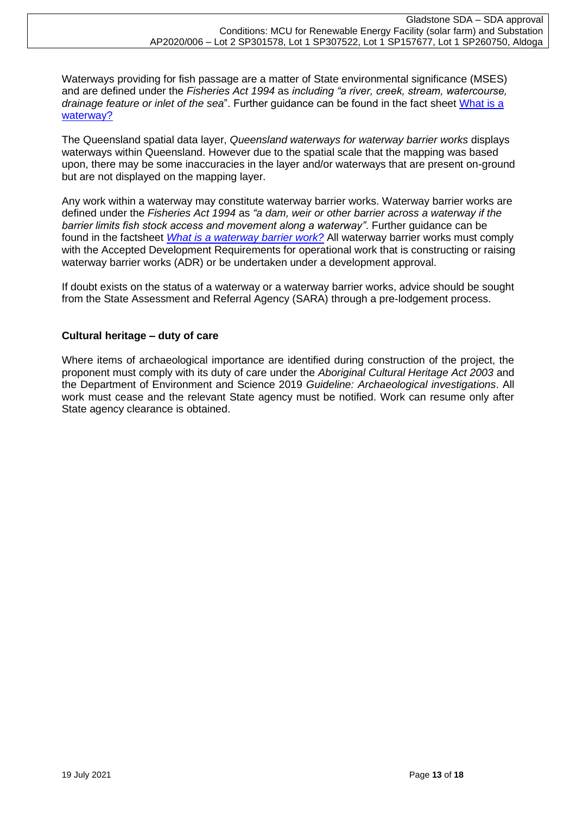Waterways providing for fish passage are a matter of State environmental significance (MSES) and are defined under the *Fisheries Act 1994* as *including "a river, creek, stream, watercourse, drainage feature or inlet of the sea*". Further guidance can be found in the fact sheet [What is a](file:///C:/Users/Claguec/AppData/Roaming/OpenText/DM/Temp/All%20permanent%20waterway%20crossings%20are%20to%20comply%20with%20the%20DAF%20factsheet%20What%20is%20not%20a%20waterway%20barrier%20work%20or%20the%20Accepted%20development%20requirements%20for%20operational%20work%20that%20is%20constructing%20or%20raising%20waterway%20barrier%20works.%20If%20a%20proposed%20waterway%20crossing%20is%20unable%20to%20meet%20the%20above%20requirements%20a%20development%20approval%20under%20the%20Planning%20Act%202016%20is%20required.)  [waterway?](file:///C:/Users/Claguec/AppData/Roaming/OpenText/DM/Temp/All%20permanent%20waterway%20crossings%20are%20to%20comply%20with%20the%20DAF%20factsheet%20What%20is%20not%20a%20waterway%20barrier%20work%20or%20the%20Accepted%20development%20requirements%20for%20operational%20work%20that%20is%20constructing%20or%20raising%20waterway%20barrier%20works.%20If%20a%20proposed%20waterway%20crossing%20is%20unable%20to%20meet%20the%20above%20requirements%20a%20development%20approval%20under%20the%20Planning%20Act%202016%20is%20required.)

The Queensland spatial data layer, *Queensland waterways for waterway barrier works* displays waterways within Queensland. However due to the spatial scale that the mapping was based upon, there may be some inaccuracies in the layer and/or waterways that are present on-ground but are not displayed on the mapping layer.

Any work within a waterway may constitute waterway barrier works. Waterway barrier works are defined under the *Fisheries Act 1994* as *"a dam, weir or other barrier across a waterway if the barrier limits fish stock access and movement along a waterway"*. Further guidance can be found in the factsheet *[What is a waterway barrier work?](https://www.daf.qld.gov.au/business-priorities/fisheries/habitats/policies-guidelines/factsheets/what-is-a-waterway-barrier-work)* All waterway barrier works must comply with the Accepted Development Requirements for operational work that is constructing or raising waterway barrier works (ADR) or be undertaken under a development approval.

If doubt exists on the status of a waterway or a waterway barrier works, advice should be sought from the State Assessment and Referral Agency (SARA) through a pre-lodgement process.

# **Cultural heritage – duty of care**

Where items of archaeological importance are identified during construction of the project, the proponent must comply with its duty of care under the *Aboriginal Cultural Heritage Act 2003* and the Department of Environment and Science 2019 *Guideline: Archaeological investigations*. All work must cease and the relevant State agency must be notified. Work can resume only after State agency clearance is obtained.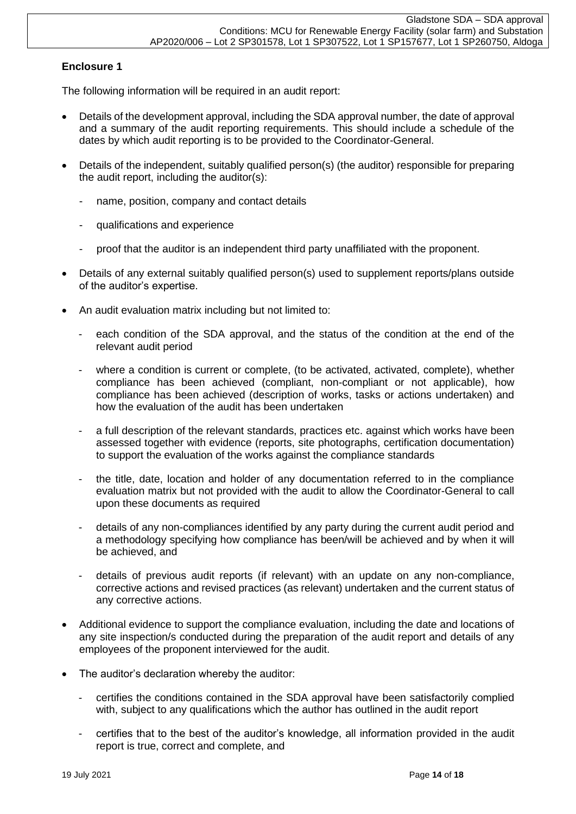# **Enclosure 1**

The following information will be required in an audit report:

- Details of the development approval, including the SDA approval number, the date of approval and a summary of the audit reporting requirements. This should include a schedule of the dates by which audit reporting is to be provided to the Coordinator-General.
- Details of the independent, suitably qualified person(s) (the auditor) responsible for preparing the audit report, including the auditor(s):
	- name, position, company and contact details
	- qualifications and experience
	- proof that the auditor is an independent third party unaffiliated with the proponent.
- Details of any external suitably qualified person(s) used to supplement reports/plans outside of the auditor's expertise.
- An audit evaluation matrix including but not limited to:
	- each condition of the SDA approval, and the status of the condition at the end of the relevant audit period
	- where a condition is current or complete, (to be activated, activated, complete), whether compliance has been achieved (compliant, non-compliant or not applicable), how compliance has been achieved (description of works, tasks or actions undertaken) and how the evaluation of the audit has been undertaken
	- a full description of the relevant standards, practices etc. against which works have been assessed together with evidence (reports, site photographs, certification documentation) to support the evaluation of the works against the compliance standards
	- the title, date, location and holder of any documentation referred to in the compliance evaluation matrix but not provided with the audit to allow the Coordinator-General to call upon these documents as required
	- details of any non-compliances identified by any party during the current audit period and a methodology specifying how compliance has been/will be achieved and by when it will be achieved, and
	- details of previous audit reports (if relevant) with an update on any non-compliance, corrective actions and revised practices (as relevant) undertaken and the current status of any corrective actions.
- Additional evidence to support the compliance evaluation, including the date and locations of any site inspection/s conducted during the preparation of the audit report and details of any employees of the proponent interviewed for the audit.
- The auditor's declaration whereby the auditor:
	- certifies the conditions contained in the SDA approval have been satisfactorily complied with, subject to any qualifications which the author has outlined in the audit report
	- certifies that to the best of the auditor's knowledge, all information provided in the audit report is true, correct and complete, and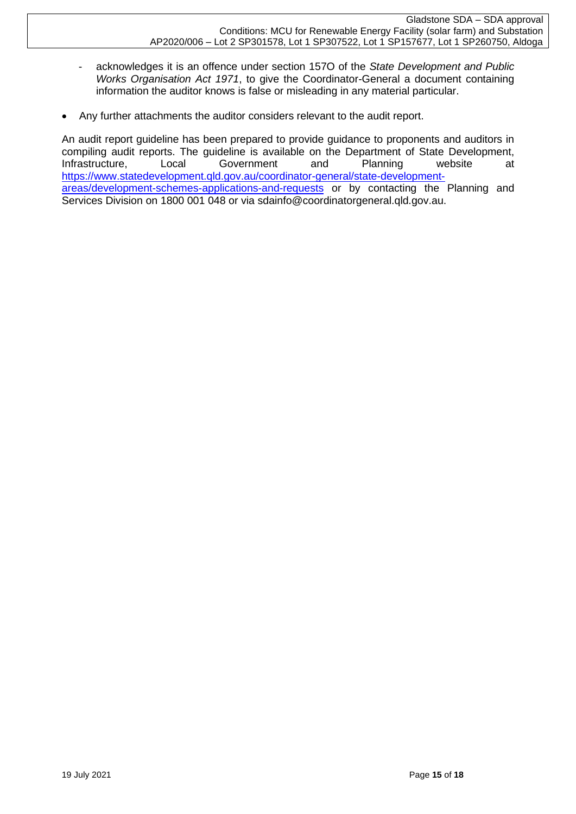- acknowledges it is an offence under section 157O of the *State Development and Public Works Organisation Act 1971*, to give the Coordinator-General a document containing information the auditor knows is false or misleading in any material particular.
- Any further attachments the auditor considers relevant to the audit report.

An audit report guideline has been prepared to provide guidance to proponents and auditors in compiling audit reports. The guideline is available on the Department of State Development, Infrastructure, Local Government and Planning website at [https://www.statedevelopment.qld.gov.au/coordinator-general/state-development](https://www.statedevelopment.qld.gov.au/coordinator-general/state-development-areas/development-schemes-applications-and-requests)[areas/development-schemes-applications-and-requests](https://www.statedevelopment.qld.gov.au/coordinator-general/state-development-areas/development-schemes-applications-and-requests) or by contacting the Planning and Services Division on 1800 001 048 or via sdainfo@coordinatorgeneral.qld.gov.au.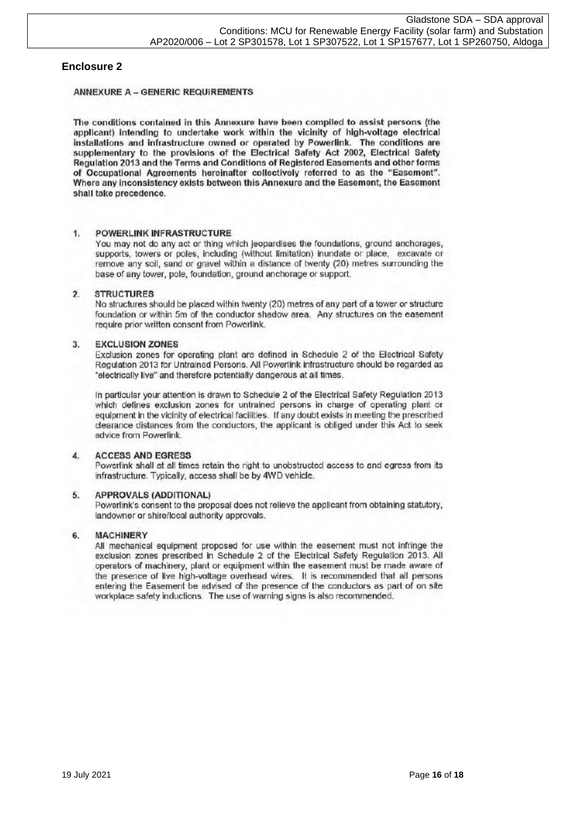### **Enclosure 2**

### **ANNEXURE A - GENERIC REQUIREMENTS**

The conditions contained in this Annexure have been compiled to assist persons (the applicant) intending to undertake work within the vicinity of high-voltage electrical installations and infrastructure owned or operated by Powerlink. The conditions are supplementary to the provisions of the Electrical Safety Act 2002, Electrical Safety Regulation 2013 and the Terms and Conditions of Registered Easements and other forms of Occupational Agreements hereinafter collectively referred to as the "Easement". Where any inconsistency exists between this Annexure and the Easement, the Easement shall take precedence.

#### 1. **POWERLINK INFRASTRUCTURE**

You may not do any act or thing which jeopardises the foundations, ground anchorages, supports, towers or poles, including (without limitation) inundate or place, excavate or remove any soil, sand or gravel within a distance of twenty (20) metres surrounding the base of any tower, pole, foundation, ground anchorage or support.

#### $\overline{2}$ **STRUCTURES**

No structures should be placed within twenty (20) metres of any part of a tower or structure foundation or within 5m of the conductor shadow area. Any structures on the easement require prior written consent from Powerlink.

#### 3. **EXCLUSION ZONES**

Exclusion zones for operating plant are defined in Schedule 2 of the Electrical Safety Regulation 2013 for Untrained Persons. All Powerlink infrastructure should be regarded as 'electrically live" and therefore potentially dangerous at all times.

In particular your attention is drawn to Schedule 2 of the Electrical Safety Regulation 2013 which defines exclusion zones for untrained persons in charge of operating plant or equipment in the vicinity of electrical facilities. If any doubt exists in meeting the prescribed clearance distances from the conductors, the applicant is obliged under this Act to seek advice from Powerlink.

#### **ACCESS AND EGRESS**  $\mathbf{A}$

Powerlink shall at all times retain the right to unobstructed access to and egress from its infrastructure. Typically, access shall be by 4WD vehicle.

#### 5. **APPROVALS (ADDITIONAL)**

Powerlink's consent to the proposal does not relieve the applicant from obtaining statutory. landowner or shire/local authority approvals.

#### $6.$ **MACHINERY**

All mechanical equipment proposed for use within the easement must not infringe the exclusion zones prescribed in Schedule 2 of the Electrical Safety Regulation 2013. All operators of machinery, plant or equipment within the easement must be made aware of the presence of live high-voltage overhead wires. It is recommended that all persons entering the Easement be advised of the presence of the conductors as part of on site workplace safety inductions. The use of warning signs is also recommended.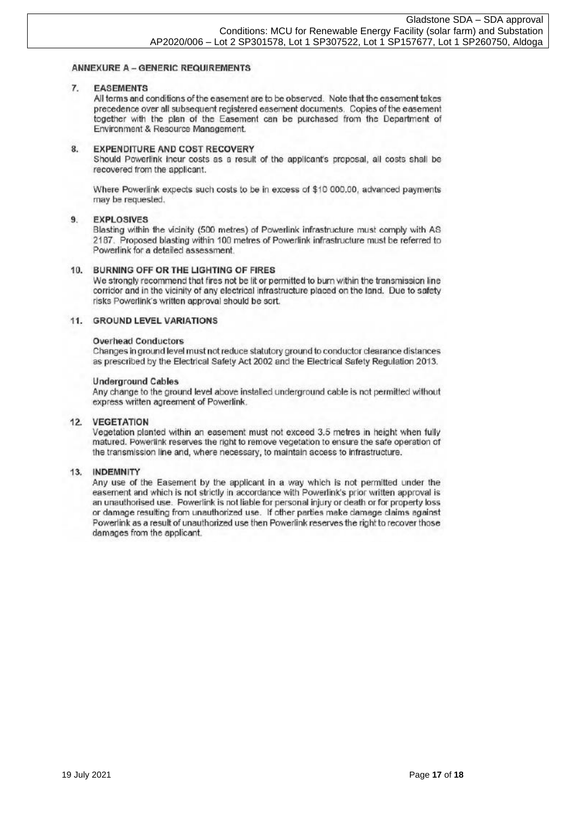### **ANNEXURE A - GENERIC REQUIREMENTS**

#### 7. **EASEMENTS**

All terms and conditions of the easement are to be observed. Note that the easement takes precedence over all subsequent registered easement documents. Copies of the easement together with the plan of the Easement can be purchased from the Department of Environment & Resource Management.

#### 8. **EXPENDITURE AND COST RECOVERY**

Should Powerlink incur costs as a result of the applicant's proposal, all costs shall be recovered from the applicant.

Where Powerlink expects such costs to be in excess of \$10 000.00, advanced payments may be requested.

#### $9.$ **EXPLOSIVES**

Blasting within the vicinity (500 metres) of Powerlink infrastructure must comply with AS 2187. Proposed blasting within 100 metres of Powerlink infrastructure must be referred to Powerlink for a detailed assessment.

### 10. BURNING OFF OR THE LIGHTING OF FIRES

We strongly recommend that fires not be lit or permitted to burn within the transmission line corridor and in the vicinity of any electrical infrastructure placed on the land. Due to safety risks Powerlink's written approval should be sort.

### 11. GROUND LEVEL VARIATIONS

### **Overhead Conductors**

Changes in ground level must not reduce statutory ground to conductor clearance distances as prescribed by the Electrical Safety Act 2002 and the Electrical Safety Regulation 2013.

### **Underground Cables**

Any change to the ground level above installed underground cable is not permitted without express written agreement of Powerlink.

### 12. VEGETATION

Vegetation planted within an easement must not exceed 3.5 metres in height when fully matured. Powerlink reserves the right to remove vegetation to ensure the safe operation of the transmission line and, where necessary, to maintain access to infrastructure.

### 13. INDEMNITY

Any use of the Easement by the applicant in a way which is not permitted under the easement and which is not strictly in accordance with Powerlink's prior written approval is an unauthorised use. Powerlink is not liable for personal injury or death or for property loss or damage resulting from unauthorized use. If other parties make damage claims against Powerlink as a result of unauthorized use then Powerlink reserves the right to recover those damages from the applicant.